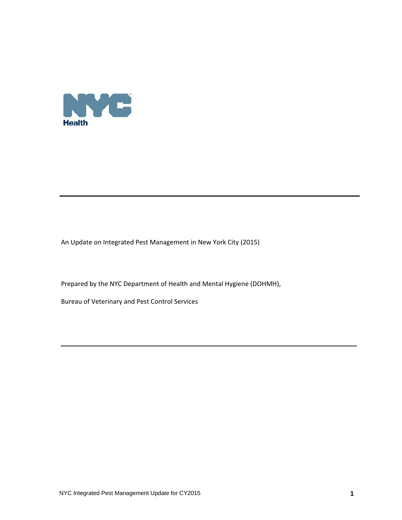

An Update on Integrated Pest Management in New York City (2015)

Prepared by the NYC Department of Health and Mental Hygiene (DOHMH),

Bureau of Veterinary and Pest Control Services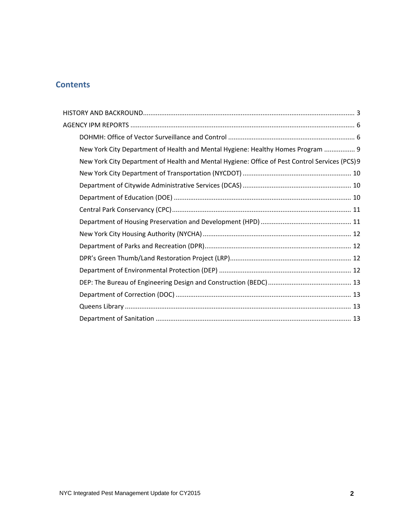# **Contents**

| New York City Department of Health and Mental Hygiene: Healthy Homes Program  9                |  |
|------------------------------------------------------------------------------------------------|--|
| New York City Department of Health and Mental Hygiene: Office of Pest Control Services (PCS) 9 |  |
|                                                                                                |  |
|                                                                                                |  |
|                                                                                                |  |
|                                                                                                |  |
|                                                                                                |  |
|                                                                                                |  |
|                                                                                                |  |
|                                                                                                |  |
|                                                                                                |  |
|                                                                                                |  |
|                                                                                                |  |
|                                                                                                |  |
|                                                                                                |  |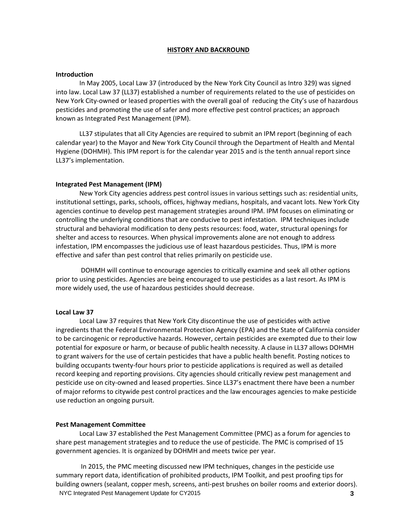#### **HISTORY AND BACKROUND**

#### **Introduction**

In May 2005, Local Law 37 (introduced by the New York City Council as Intro 329) was signed into law. Local Law 37 (LL37) established a number of requirements related to the use of pesticides on New York City-owned or leased properties with the overall goal of reducing the City's use of hazardous pesticides and promoting the use of safer and more effective pest control practices; an approach known as Integrated Pest Management (IPM).

LL37 stipulates that all City Agencies are required to submit an IPM report (beginning of each calendar year) to the Mayor and New York City Council through the Department of Health and Mental Hygiene (DOHMH). This IPM report is for the calendar year 2015 and is the tenth annual report since LL37's implementation.

#### **Integrated Pest Management (IPM)**

New York City agencies address pest control issues in various settings such as: residential units, institutional settings, parks, schools, offices, highway medians, hospitals, and vacant lots. New York City agencies continue to develop pest management strategies around IPM. IPM focuses on eliminating or controlling the underlying conditions that are conducive to pest infestation. IPM techniques include structural and behavioral modification to deny pests resources: food, water, structural openings for shelter and access to resources. When physical improvements alone are not enough to address infestation, IPM encompasses the judicious use of least hazardous pesticides. Thus, IPM is more effective and safer than pest control that relies primarily on pesticide use.

DOHMH will continue to encourage agencies to critically examine and seek all other options prior to using pesticides. Agencies are being encouraged to use pesticides as a last resort. As IPM is more widely used, the use of hazardous pesticides should decrease.

#### **Local Law 37**

Local Law 37 requires that New York City discontinue the use of pesticides with active ingredients that the Federal Environmental Protection Agency (EPA) and the State of California consider to be carcinogenic or reproductive hazards. However, certain pesticides are exempted due to their low potential for exposure or harm, or because of public health necessity. A clause in LL37 allows DOHMH to grant waivers for the use of certain pesticides that have a public health benefit. Posting notices to building occupants twenty‐four hours prior to pesticide applications is required as well as detailed record keeping and reporting provisions. City agencies should critically review pest management and pesticide use on city-owned and leased properties. Since LL37's enactment there have been a number of major reforms to citywide pest control practices and the law encourages agencies to make pesticide use reduction an ongoing pursuit.

#### **Pest Management Committee**

Local Law 37 established the Pest Management Committee (PMC) as a forum for agencies to share pest management strategies and to reduce the use of pesticide. The PMC is comprised of 15 government agencies. It is organized by DOHMH and meets twice per year.

NYC Integrated Pest Management Update for CY2015 **3** In 2015, the PMC meeting discussed new IPM techniques, changes in the pesticide use summary report data, identification of prohibited products, IPM Toolkit, and pest proofing tips for building owners (sealant, copper mesh, screens, anti‐pest brushes on boiler rooms and exterior doors).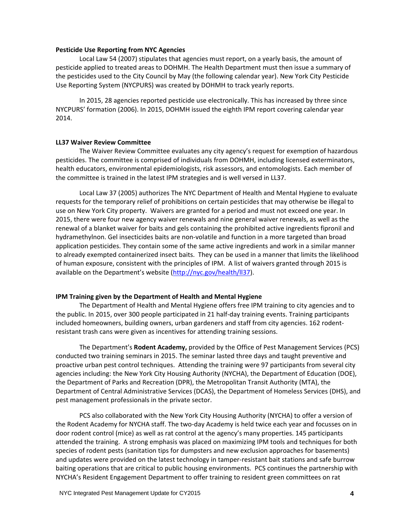#### **Pesticide Use Reporting from NYC Agencies**

Local Law 54 (2007) stipulates that agencies must report, on a yearly basis, the amount of pesticide applied to treated areas to DOHMH. The Health Department must then issue a summary of the pesticides used to the City Council by May (the following calendar year). New York City Pesticide Use Reporting System (NYCPURS) was created by DOHMH to track yearly reports.

In 2015, 28 agencies reported pesticide use electronically. This has increased by three since NYCPURS' formation (2006). In 2015, DOHMH issued the eighth IPM report covering calendar year 2014.

#### **LL37 Waiver Review Committee**

The Waiver Review Committee evaluates any city agency's request for exemption of hazardous pesticides. The committee is comprised of individuals from DOHMH, including licensed exterminators, health educators, environmental epidemiologists, risk assessors, and entomologists. Each member of the committee is trained in the latest IPM strategies and is well versed in LL37.

Local Law 37 (2005) authorizes The NYC Department of Health and Mental Hygiene to evaluate requests for the temporary relief of prohibitions on certain pesticides that may otherwise be illegal to use on New York City property. Waivers are granted for a period and must not exceed one year. In 2015, there were four new agency waiver renewals and nine general waiver renewals, as well as the renewal of a blanket waiver for baits and gels containing the prohibited active ingredients fipronil and hydramethylnon. Gel insecticides baits are non‐volatile and function in a more targeted than broad application pesticides. They contain some of the same active ingredients and work in a similar manner to already exempted containerized insect baits. They can be used in a manner that limits the likelihood of human exposure, consistent with the principles of IPM. A list of waivers granted through 2015 is available on the Department's website (http://nyc.gov/health/ll37).

### **IPM Training given by the Department of Health and Mental Hygiene**

The Department of Health and Mental Hygiene offers free IPM training to city agencies and to the public. In 2015, over 300 people participated in 21 half‐day training events. Training participants included homeowners, building owners, urban gardeners and staff from city agencies. 162 rodent‐ resistant trash cans were given as incentives for attending training sessions.

The Department's **Rodent Academy,** provided by the Office of Pest Management Services (PCS) conducted two training seminars in 2015. The seminar lasted three days and taught preventive and proactive urban pest control techniques. Attending the training were 97 participants from several city agencies including: the New York City Housing Authority (NYCHA), the Department of Education (DOE), the Department of Parks and Recreation (DPR), the Metropolitan Transit Authority (MTA), the Department of Central Administrative Services (DCAS), the Department of Homeless Services (DHS), and pest management professionals in the private sector.

PCS also collaborated with the New York City Housing Authority (NYCHA) to offer a version of the Rodent Academy for NYCHA staff. The two‐day Academy is held twice each year and focusses on in door rodent control (mice) as well as rat control at the agency's many properties. 145 participants attended the training. A strong emphasis was placed on maximizing IPM tools and techniques for both species of rodent pests (sanitation tips for dumpsters and new exclusion approaches for basements) and updates were provided on the latest technology in tamper-resistant bait stations and safe burrow baiting operations that are critical to public housing environments. PCS continues the partnership with NYCHA's Resident Engagement Department to offer training to resident green committees on rat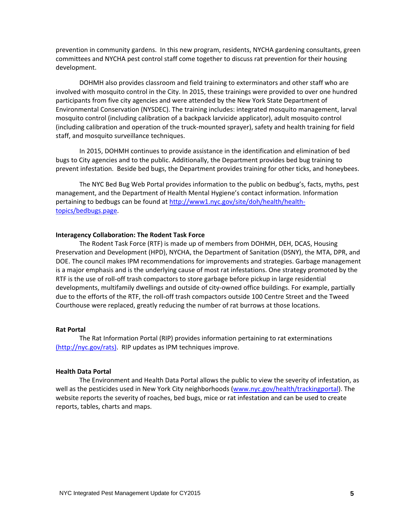prevention in community gardens. In this new program, residents, NYCHA gardening consultants, green committees and NYCHA pest control staff come together to discuss rat prevention for their housing development.

DOHMH also provides classroom and field training to exterminators and other staff who are involved with mosquito control in the City. In 2015, these trainings were provided to over one hundred participants from five city agencies and were attended by the New York State Department of Environmental Conservation (NYSDEC). The training includes: integrated mosquito management, larval mosquito control (including calibration of a backpack larvicide applicator), adult mosquito control (including calibration and operation of the truck‐mounted sprayer), safety and health training for field staff, and mosquito surveillance techniques.

In 2015, DOHMH continues to provide assistance in the identification and elimination of bed bugs to City agencies and to the public. Additionally, the Department provides bed bug training to prevent infestation. Beside bed bugs, the Department provides training for other ticks, and honeybees.

The NYC Bed Bug Web Portal provides information to the public on bedbug's, facts, myths, pest management, and the Department of Health Mental Hygiene's contact information. Information pertaining to bedbugs can be found at http://www1.nyc.gov/site/doh/health/healthtopics/bedbugs.page.

### **Interagency Collaboration: The Rodent Task Force**

The Rodent Task Force (RTF) is made up of members from DOHMH, DEH, DCAS, Housing Preservation and Development (HPD), NYCHA, the Department of Sanitation (DSNY), the MTA, DPR, and DOE. The council makes IPM recommendations for improvements and strategies. Garbage management is a major emphasis and is the underlying cause of most rat infestations. One strategy promoted by the RTF is the use of roll‐off trash compactors to store garbage before pickup in large residential developments, multifamily dwellings and outside of city‐owned office buildings. For example, partially due to the efforts of the RTF, the roll‐off trash compactors outside 100 Centre Street and the Tweed Courthouse were replaced, greatly reducing the number of rat burrows at those locations.

### **Rat Portal**

The Rat Information Portal (RIP) provides information pertaining to rat exterminations (http://nyc.gov/rats). RIP updates as IPM techniques improve.

### **Health Data Portal**

The Environment and Health Data Portal allows the public to view the severity of infestation, as well as the pesticides used in New York City neighborhoods (www.nyc.gov/health/trackingportal). The website reports the severity of roaches, bed bugs, mice or rat infestation and can be used to create reports, tables, charts and maps.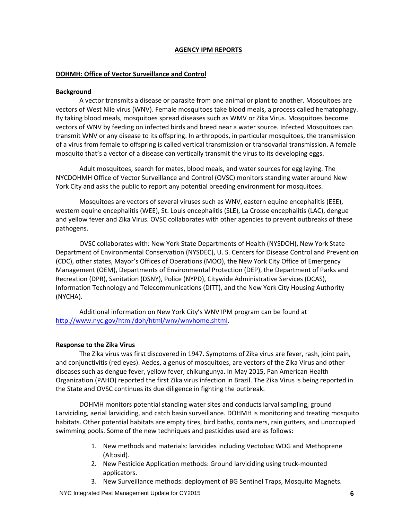### **AGENCY IPM REPORTS**

#### **DOHMH: Office of Vector Surveillance and Control**

#### **Background**

A vector transmits a disease or parasite from one animal or plant to another. Mosquitoes are vectors of West Nile virus (WNV). Female mosquitoes take blood meals, a process called hematophagy. By taking blood meals, mosquitoes spread diseases such as WMV or Zika Virus. Mosquitoes become vectors of WNV by feeding on infected birds and breed near a water source. Infected Mosquitoes can transmit WNV or any disease to its offspring. In arthropods, in particular mosquitoes, the transmission of a virus from female to offspring is called vertical transmission or transovarial transmission. A female mosquito that's a vector of a disease can vertically transmit the virus to its developing eggs.

Adult mosquitoes, search for mates, blood meals, and water sources for egg laying. The NYCDOHMH Office of Vector Surveillance and Control (OVSC) monitors standing water around New York City and asks the public to report any potential breeding environment for mosquitoes.

Mosquitoes are vectors of several viruses such as WNV, eastern equine encephalitis (EEE), western equine encephalitis (WEE), St. Louis encephalitis (SLE), La Crosse encephalitis (LAC), dengue and yellow fever and Zika Virus. OVSC collaborates with other agencies to prevent outbreaks of these pathogens.

OVSC collaborates with: New York State Departments of Health (NYSDOH), New York State Department of Environmental Conservation (NYSDEC), U. S. Centers for Disease Control and Prevention (CDC), other states, Mayor's Offices of Operations (MOO), the New York City Office of Emergency Management (OEM), Departments of Environmental Protection (DEP), the Department of Parks and Recreation (DPR), Sanitation (DSNY), Police (NYPD), Citywide Administrative Services (DCAS), Information Technology and Telecommunications (DITT), and the New York City Housing Authority (NYCHA).

Additional information on New York City's WNV IPM program can be found at http://www.nyc.gov/html/doh/html/wnv/wnvhome.shtml.

#### **Response to the Zika Virus**

The Zika virus was first discovered in 1947. Symptoms of Zika virus are fever, rash, joint pain, and conjunctivitis (red eyes). Aedes, a genus of mosquitoes, are vectors of the Zika Virus and other diseases such as dengue fever, yellow fever, chikungunya. In May 2015, Pan American Health Organization (PAHO) reported the first Zika virus infection in Brazil. The Zika Virus is being reported in the State and OVSC continues its due diligence in fighting the outbreak.

DOHMH monitors potential standing water sites and conducts larval sampling, ground Larviciding, aerial larviciding, and catch basin surveillance. DOHMH is monitoring and treating mosquito habitats. Other potential habitats are empty tires, bird baths, containers, rain gutters, and unoccupied swimming pools. Some of the new techniques and pesticides used are as follows:

- 1. New methods and materials: larvicides including Vectobac WDG and Methoprene (Altosid).
- 2. New Pesticide Application methods: Ground larviciding using truck‐mounted applicators.
- 3. New Surveillance methods: deployment of BG Sentinel Traps, Mosquito Magnets.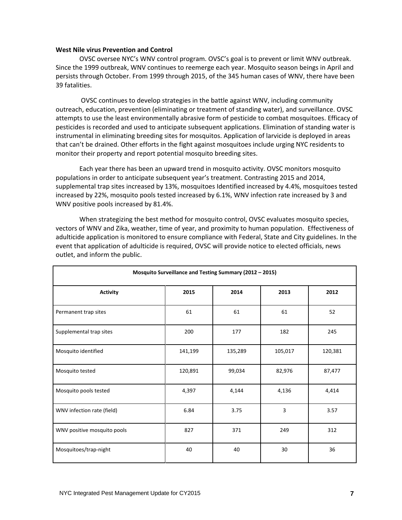#### **West Nile virus Prevention and Control**

OVSC oversee NYC's WNV control program. OVSC's goal is to prevent or limit WNV outbreak. Since the 1999 outbreak, WNV continues to reemerge each year. Mosquito season beings in April and persists through October. From 1999 through 2015, of the 345 human cases of WNV, there have been 39 fatalities.

OVSC continues to develop strategies in the battle against WNV, including community outreach, education, prevention (eliminating or treatment of standing water), and surveillance. OVSC attempts to use the least environmentally abrasive form of pesticide to combat mosquitoes. Efficacy of pesticides is recorded and used to anticipate subsequent applications. Elimination of standing water is instrumental in eliminating breeding sites for mosquitos. Application of larvicide is deployed in areas that can't be drained. Other efforts in the fight against mosquitoes include urging NYC residents to monitor their property and report potential mosquito breeding sites.

Each year there has been an upward trend in mosquito activity. OVSC monitors mosquito populations in order to anticipate subsequent year's treatment. Contrasting 2015 and 2014, supplemental trap sites increased by 13%, mosquitoes Identified increased by 4.4%, mosquitoes tested increased by 22%, mosquito pools tested increased by 6.1%, WNV infection rate increased by 3 and WNV positive pools increased by 81.4%.

When strategizing the best method for mosquito control, OVSC evaluates mosquito species, vectors of WNV and Zika, weather, time of year, and proximity to human population. Effectiveness of adulticide application is monitored to ensure compliance with Federal, State and City guidelines. In the event that application of adulticide is required, OVSC will provide notice to elected officials, news outlet, and inform the public.

| Mosquito Surveillance and Testing Summary (2012 - 2015) |         |         |         |         |  |  |  |
|---------------------------------------------------------|---------|---------|---------|---------|--|--|--|
| <b>Activity</b>                                         | 2015    | 2014    | 2013    | 2012    |  |  |  |
| Permanent trap sites                                    | 61      | 61      | 61      | 52      |  |  |  |
| Supplemental trap sites                                 | 200     | 177     | 182     | 245     |  |  |  |
| Mosquito identified                                     | 141,199 | 135,289 | 105,017 | 120,381 |  |  |  |
| Mosquito tested                                         | 120,891 | 99,034  | 82,976  | 87,477  |  |  |  |
| Mosquito pools tested                                   | 4,397   | 4,144   | 4,136   | 4,414   |  |  |  |
| WNV infection rate (field)                              | 6.84    | 3.75    | 3       | 3.57    |  |  |  |
| WNV positive mosquito pools                             | 827     | 371     | 249     | 312     |  |  |  |
| Mosquitoes/trap-night                                   | 40      | 40      | 30      | 36      |  |  |  |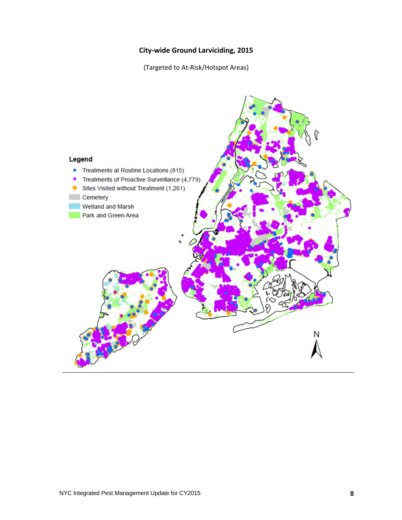# **City‐wide Ground Larviciding, 2015**

(Targeted to At‐Risk/Hotspot Areas)

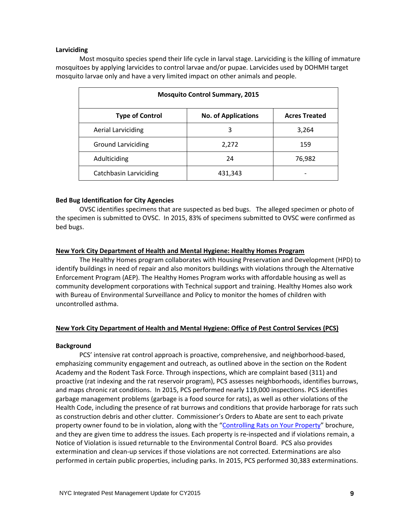### **Larviciding**

Most mosquito species spend their life cycle in larval stage. Larviciding is the killing of immature mosquitoes by applying larvicides to control larvae and/or pupae. Larvicides used by DOHMH target mosquito larvae only and have a very limited impact on other animals and people.

| <b>Mosquito Control Summary, 2015</b> |                            |                      |  |  |  |  |  |
|---------------------------------------|----------------------------|----------------------|--|--|--|--|--|
| <b>Type of Control</b>                | <b>No. of Applications</b> | <b>Acres Treated</b> |  |  |  |  |  |
| <b>Aerial Larviciding</b>             | 3                          | 3,264                |  |  |  |  |  |
| <b>Ground Larviciding</b>             | 2,272                      | 159                  |  |  |  |  |  |
| Adulticiding                          | 24                         | 76,982               |  |  |  |  |  |
| Catchbasin Larviciding                | 431,343                    |                      |  |  |  |  |  |

### **Bed Bug Identification for City Agencies**

OVSC identifies specimens that are suspected as bed bugs. The alleged specimen or photo of the specimen is submitted to OVSC. In 2015, 83% of specimens submitted to OVSC were confirmed as bed bugs.

### **New York City Department of Health and Mental Hygiene: Healthy Homes Program**

The Healthy Homes program collaborates with Housing Preservation and Development (HPD) to identify buildings in need of repair and also monitors buildings with violations through the Alternative Enforcement Program (AEP). The Healthy Homes Program works with affordable housing as well as community development corporations with Technical support and training. Healthy Homes also work with Bureau of Environmental Surveillance and Policy to monitor the homes of children with uncontrolled asthma.

### **New York City Department of Health and Mental Hygiene: Office of Pest Control Services (PCS)**

### **Background**

PCS' intensive rat control approach is proactive, comprehensive, and neighborhood‐based, emphasizing community engagement and outreach, as outlined above in the section on the Rodent Academy and the Rodent Task Force. Through inspections, which are complaint based (311) and proactive (rat indexing and the rat reservoir program), PCS assesses neighborhoods, identifies burrows, and maps chronic rat conditions. In 2015, PCS performed nearly 119,000 inspections. PCS identifies garbage management problems (garbage is a food source for rats), as well as other violations of the Health Code, including the presence of rat burrows and conditions that provide harborage for rats such as construction debris and other clutter. Commissioner's Orders to Abate are sent to each private property owner found to be in violation, along with the "Controlling Rats on Your Property" brochure, and they are given time to address the issues. Each property is re-inspected and if violations remain, a Notice of Violation is issued returnable to the Environmental Control Board. PCS also provides extermination and clean‐up services if those violations are not corrected. Exterminations are also performed in certain public properties, including parks. In 2015, PCS performed 30,383 exterminations.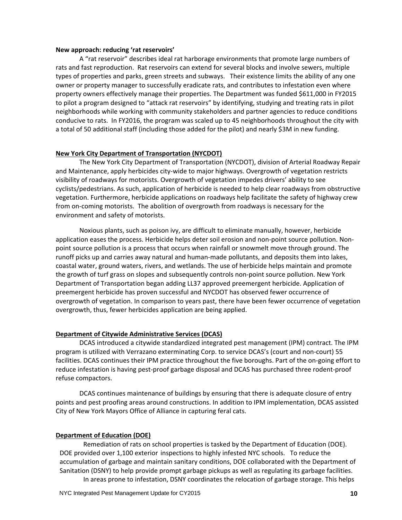#### **New approach: reducing 'rat reservoirs'**

A "rat reservoir" describes ideal rat harborage environments that promote large numbers of rats and fast reproduction. Rat reservoirs can extend for several blocks and involve sewers, multiple types of properties and parks, green streets and subways. Their existence limits the ability of any one owner or property manager to successfully eradicate rats, and contributes to infestation even where property owners effectively manage their properties. The Department was funded \$611,000 in FY2015 to pilot a program designed to "attack rat reservoirs" by identifying, studying and treating rats in pilot neighborhoods while working with community stakeholders and partner agencies to reduce conditions conducive to rats. In FY2016, the program was scaled up to 45 neighborhoods throughout the city with a total of 50 additional staff (including those added for the pilot) and nearly \$3M in new funding.

### **New York City Department of Transportation (NYCDOT)**

The New York City Department of Transportation (NYCDOT), division of Arterial Roadway Repair and Maintenance, apply herbicides city-wide to major highways. Overgrowth of vegetation restricts visibility of roadways for motorists. Overgrowth of vegetation impedes drivers' ability to see cyclists/pedestrians. As such, application of herbicide is needed to help clear roadways from obstructive vegetation. Furthermore, herbicide applications on roadways help facilitate the safety of highway crew from on‐coming motorists. The abolition of overgrowth from roadways is necessary for the environment and safety of motorists.

Noxious plants, such as poison ivy, are difficult to eliminate manually, however, herbicide application eases the process. Herbicide helps deter soil erosion and non‐point source pollution. Non‐ point source pollution is a process that occurs when rainfall or snowmelt move through ground. The runoff picks up and carries away natural and human‐made pollutants, and deposits them into lakes, coastal water, ground waters, rivers, and wetlands. The use of herbicide helps maintain and promote the growth of turf grass on slopes and subsequently controls non‐point source pollution. New York Department of Transportation began adding LL37 approved preemergent herbicide. Application of preemergent herbicide has proven successful and NYCDOT has observed fewer occurrence of overgrowth of vegetation. In comparison to years past, there have been fewer occurrence of vegetation overgrowth, thus, fewer herbicides application are being applied.

### **Department of Citywide Administrative Services (DCAS)**

DCAS introduced a citywide standardized integrated pest management (IPM) contract. The IPM program is utilized with Verrazano exterminating Corp. to service DCAS's (court and non‐court) 55 facilities. DCAS continues their IPM practice throughout the five boroughs. Part of the on‐going effort to reduce infestation is having pest‐proof garbage disposal and DCAS has purchased three rodent‐proof refuse compactors.

DCAS continues maintenance of buildings by ensuring that there is adequate closure of entry points and pest proofing areas around constructions. In addition to IPM implementation, DCAS assisted City of New York Mayors Office of Alliance in capturing feral cats.

### **Department of Education (DOE)**

Remediation of rats on school properties is tasked by the Department of Education (DOE). DOE provided over 1,100 exterior inspections to highly infested NYC schools. To reduce the accumulation of garbage and maintain sanitary conditions, DOE collaborated with the Department of Sanitation (DSNY) to help provide prompt garbage pickups as well as regulating its garbage facilities. In areas prone to infestation, DSNY coordinates the relocation of garbage storage. This helps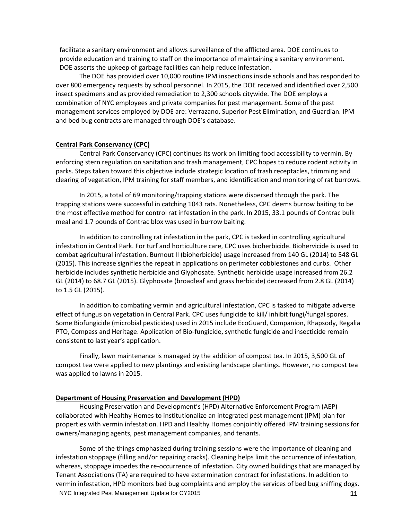facilitate a sanitary environment and allows surveillance of the afflicted area. DOE continues to provide education and training to staff on the importance of maintaining a sanitary environment. DOE asserts the upkeep of garbage facilities can help reduce infestation.

The DOE has provided over 10,000 routine IPM inspections inside schools and has responded to over 800 emergency requests by school personnel. In 2015, the DOE received and identified over 2,500 insect specimens and as provided remediation to 2,300 schools citywide. The DOE employs a combination of NYC employees and private companies for pest management. Some of the pest management services employed by DOE are: Verrazano, Superior Pest Elimination, and Guardian. IPM and bed bug contracts are managed through DOE's database.

### **Central Park Conservancy (CPC)**

Central Park Conservancy (CPC) continues its work on limiting food accessibility to vermin. By enforcing stern regulation on sanitation and trash management, CPC hopes to reduce rodent activity in parks. Steps taken toward this objective include strategic location of trash receptacles, trimming and clearing of vegetation, IPM training for staff members, and identification and monitoring of rat burrows.

In 2015, a total of 69 monitoring/trapping stations were dispersed through the park. The trapping stations were successful in catching 1043 rats. Nonetheless, CPC deems burrow baiting to be the most effective method for control rat infestation in the park. In 2015, 33.1 pounds of Contrac bulk meal and 1.7 pounds of Contrac blox was used in burrow baiting.

In addition to controlling rat infestation in the park, CPC is tasked in controlling agricultural infestation in Central Park. For turf and horticulture care, CPC uses bioherbicide. Biohervicide is used to combat agricultural infestation. Burnout II (bioherbicide) usage increased from 140 GL (2014) to 548 GL (2015). This increase signifies the repeat in applications on perimeter cobblestones and curbs. Other herbicide includes synthetic herbicide and Glyphosate. Synthetic herbicide usage increased from 26.2 GL (2014) to 68.7 GL (2015). Glyphosate (broadleaf and grass herbicide) decreased from 2.8 GL (2014) to 1.5 GL (2015).

In addition to combating vermin and agricultural infestation, CPC is tasked to mitigate adverse effect of fungus on vegetation in Central Park. CPC uses fungicide to kill/ inhibit fungi/fungal spores. Some Biofungicide (microbial pesticides) used in 2015 include EcoGuard, Companion, Rhapsody, Regalia PTO, Compass and Heritage. Application of Bio‐fungicide, synthetic fungicide and insecticide remain consistent to last year's application.

Finally, lawn maintenance is managed by the addition of compost tea. In 2015, 3,500 GL of compost tea were applied to new plantings and existing landscape plantings. However, no compost tea was applied to lawns in 2015.

### **Department of Housing Preservation and Development (HPD)**

Housing Preservation and Development's (HPD) Alternative Enforcement Program (AEP) collaborated with Healthy Homes to institutionalize an integrated pest management (IPM) plan for properties with vermin infestation. HPD and Healthy Homes conjointly offered IPM training sessions for owners/managing agents, pest management companies, and tenants.

NYC Integrated Pest Management Update for CY2015 **11** Some of the things emphasized during training sessions were the importance of cleaning and infestation stoppage (filling and/or repairing cracks). Cleaning helps limit the occurrence of infestation, whereas, stoppage impedes the re-occurrence of infestation. City owned buildings that are managed by Tenant Associations (TA) are required to have extermination contract for infestations. In addition to vermin infestation, HPD monitors bed bug complaints and employ the services of bed bug sniffing dogs.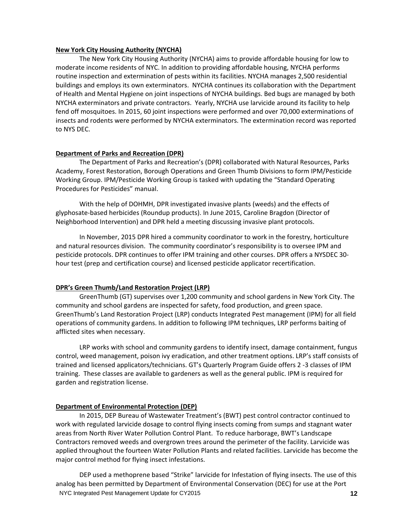### **New York City Housing Authority (NYCHA)**

The New York City Housing Authority (NYCHA) aims to provide affordable housing for low to moderate income residents of NYC. In addition to providing affordable housing, NYCHA performs routine inspection and extermination of pests within its facilities. NYCHA manages 2,500 residential buildings and employs its own exterminators. NYCHA continues its collaboration with the Department of Health and Mental Hygiene on joint inspections of NYCHA buildings. Bed bugs are managed by both NYCHA exterminators and private contractors. Yearly, NYCHA use larvicide around its facility to help fend off mosquitoes. In 2015, 60 joint inspections were performed and over 70,000 exterminations of insects and rodents were performed by NYCHA exterminators. The extermination record was reported to NYS DEC.

### **Department of Parks and Recreation (DPR)**

The Department of Parks and Recreation's (DPR) collaborated with Natural Resources, Parks Academy, Forest Restoration, Borough Operations and Green Thumb Divisions to form IPM/Pesticide Working Group. IPM/Pesticide Working Group is tasked with updating the "Standard Operating Procedures for Pesticides" manual.

With the help of DOHMH, DPR investigated invasive plants (weeds) and the effects of glyphosate‐based herbicides (Roundup products). In June 2015, Caroline Bragdon (Director of Neighborhood Intervention) and DPR held a meeting discussing invasive plant protocols.

In November, 2015 DPR hired a community coordinator to work in the forestry, horticulture and natural resources division. The community coordinator's responsibility is to oversee IPM and pesticide protocols. DPR continues to offer IPM training and other courses. DPR offers a NYSDEC 30‐ hour test (prep and certification course) and licensed pesticide applicator recertification.

### **DPR's Green Thumb/Land Restoration Project (LRP)**

GreenThumb (GT) supervises over 1,200 community and school gardens in New York City. The community and school gardens are inspected for safety, food production, and green space. GreenThumb's Land Restoration Project (LRP) conducts Integrated Pest management (IPM) for all field operations of community gardens. In addition to following IPM techniques, LRP performs baiting of afflicted sites when necessary.

LRP works with school and community gardens to identify insect, damage containment, fungus control, weed management, poison ivy eradication, and other treatment options. LRP's staff consists of trained and licensed applicators/technicians. GT's Quarterly Program Guide offers 2 ‐3 classes of IPM training. These classes are available to gardeners as well as the general public. IPM is required for garden and registration license.

### **Department of Environmental Protection (DEP)**

In 2015, DEP Bureau of Wastewater Treatment's (BWT) pest control contractor continued to work with regulated larvicide dosage to control flying insects coming from sumps and stagnant water areas from North River Water Pollution Control Plant. To reduce harborage, BWT's Landscape Contractors removed weeds and overgrown trees around the perimeter of the facility. Larvicide was applied throughout the fourteen Water Pollution Plants and related facilities. Larvicide has become the major control method for flying insect infestations.

NYC Integrated Pest Management Update for CY2015 **12** DEP used a methoprene based "Strike" larvicide for Infestation of flying insects. The use of this analog has been permitted by Department of Environmental Conservation (DEC) for use at the Port